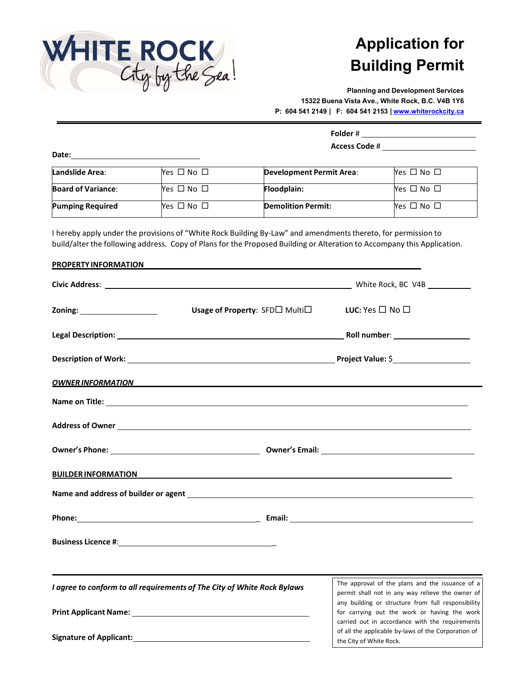

## **Application for Building Permit**

**Planning and Development Services 15322 Buena Vista Ave., White Rock, B.C. V4B 1Y6 P: 604 541 2149 | F: 604 541 2153 |www.whiterockcity.ca**

| Folder #             |  |
|----------------------|--|
| <b>Access Code #</b> |  |

| Date: |  |  |
|-------|--|--|
|       |  |  |

| Landslide Area:           | $Yes \Box No \Box$   | Development Permit Area:  | Yes $\Box$ No $\Box$ |
|---------------------------|----------------------|---------------------------|----------------------|
| <b>Board of Variance:</b> | Yes $\Box$ No $\Box$ | <b>Floodplain:</b>        | Yes $\Box$ No $\Box$ |
| <b>Pumping Required</b>   | Yes $\Box$ No $\Box$ | <b>Demolition Permit:</b> | Yes $\Box$ No $\Box$ |

I hereby apply under the provisions of "White Rock Building By‐Law" and amendments thereto, for permission to build/alter the following address. Copy of Plans for the Proposed Building or Alteration to Accompany this Application.

| <b>PROPERTY INFORMATION</b> |                                                                                                                                                                                                                                      |                                                                                                                                   |
|-----------------------------|--------------------------------------------------------------------------------------------------------------------------------------------------------------------------------------------------------------------------------------|-----------------------------------------------------------------------------------------------------------------------------------|
|                             |                                                                                                                                                                                                                                      |                                                                                                                                   |
|                             | <b>Usage of Property: SFD</b> Multi□                                                                                                                                                                                                 | LUC: Yes $\square$ No $\square$                                                                                                   |
|                             |                                                                                                                                                                                                                                      |                                                                                                                                   |
|                             |                                                                                                                                                                                                                                      |                                                                                                                                   |
|                             | <u>OWNER INFORMATION AND THE STATE OF THE STATE OF THE STATE OF THE STATE OF THE STATE OF THE STATE OF THE STATE OF THE STATE OF THE STATE OF THE STATE OF THE STATE OF THE STATE OF THE STATE OF THE STATE OF THE STATE OF THE </u> |                                                                                                                                   |
|                             |                                                                                                                                                                                                                                      |                                                                                                                                   |
|                             |                                                                                                                                                                                                                                      |                                                                                                                                   |
|                             |                                                                                                                                                                                                                                      |                                                                                                                                   |
|                             | <u>BUILDER INFORMATION AND A CHARGE COMMUNISTIES OF THE CHARGE CONTROL IN THE CHARGE CONTROL IN THE CHARGE CONTROL IN THE CHARGE CONTROL IN THE CHARGE CONTROL IN THE CHARGE CONTROL IN THE CHARGE CONTROL IN THE CHARGE CONTROL</u> |                                                                                                                                   |
|                             |                                                                                                                                                                                                                                      |                                                                                                                                   |
|                             |                                                                                                                                                                                                                                      |                                                                                                                                   |
|                             |                                                                                                                                                                                                                                      |                                                                                                                                   |
|                             | I agree to conform to all requirements of The City of White Rock Bylaws                                                                                                                                                              | The approval of the plans and the issuance of a<br>permit shall not in any way relieve the owner of                               |
|                             |                                                                                                                                                                                                                                      | any building or structure from full responsibility<br>for carrying out the work or having the work                                |
|                             |                                                                                                                                                                                                                                      | carried out in accordance with the requirements<br>of all the applicable by-laws of the Corporation of<br>the City of White Rock. |